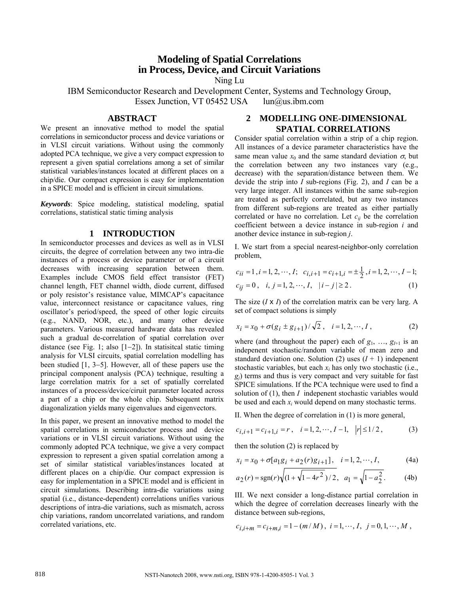# **Modeling of Spatial Correlations in Process, Device, and Circuit Variations**

Ning Lu

IBM Semiconductor Research and Development Center, Systems and Technology Group, Essex Junction, VT 05452 USA [lun@us.ibm.com](mailto:lun@us.ibm.com)

#### **ABSTRACT**

We present an innovative method to model the spatial correlations in semiconductor process and device variations or in VLSI circuit variations. Without using the commonly adopted PCA technique, we give a very compact expression to represent a given spatial correlations among a set of similar statistical variables/instances located at different places on a chip/die. Our compact expression is easy for implementation in a SPICE model and is efficient in circuit simulations.

*Keywords*: Spice modeling, statistical modeling, spatial correlations, statistical static timing analysis

#### **1 INTRODUCTION**

In semiconductor processes and devices as well as in VLSI circuits, the degree of correlation between any two intra-die instances of a process or device parameter or of a circuit decreases with increasing separation between them. Examples include CMOS field effect transistor (FET) channel length, FET channel width, diode current, diffused or poly resistor's resistance value, MIMCAP's capacitance value, interconnect resistance or capacitance values, ring oscillator's period/speed, the speed of other logic circuits (e.g., NAND, NOR, etc.), and many other device parameters. Various measured hardware data has revealed such a gradual de-correlation of spatial correlation over distance (see Fig. 1; also [1−2]). In statisitcal static timing analysis for VLSI circuits, spatial correlation modelling has been studied [1, 3−5]. However, all of these papers use the principal component analysis (PCA) technique, resulting a large correlation matrix for a set of spatially correlated instances of a process/device/ciruit parameter located across a part of a chip or the whole chip. Subsequent matrix diagonalization yields many eigenvalues and eigenvectors.

In this paper, we present an innovative method to model the spatial correlations in semiconductor process and device variations or in VLSI circuit variations. Without using the commonly adopted PCA technique, we give a very compact expression to represent a given spatial correlation among a set of similar statistical variables/instances located at different places on a chip/die. Our compact expression is easy for implementation in a SPICE model and is efficient in circuit simulations. Describing intra-die variations using spatial (i.e., distance-dependent) correlations unifies various descriptions of intra-die variations, such as mismatch, across chip variations, random uncorrelated variations, and random correlated variations, etc.

### **2 MODELLING ONE-DIMENSIONAL SPATIAL CORRELATIONS**

Consider spatial correlation within a strip of a chip region. All instances of a device parameter characteristics have the same mean value  $x_0$  and the same standard deviation  $\sigma$ , but the correlation between any two instances vary (e.g., decrease) with the separation/distance between them. We devide the strip into *I* sub-regions (Fig. 2), and *I* can be a very large integer. All instances within the same sub-region are treated as perfectly correlated, but any two instances from different sub-regions are treated as either partially correlated or have no correlation. Let  $c_{ij}$  be the correlation coefficient between a device instance in sub-region *i* and another device instance in sub-region *j*.

I. We start from a special nearest-neighbor-only correlation problem,

$$
c_{ii} = 1, i = 1, 2, \cdots, I; \quad c_{i,i+1} = c_{i+1,i} = \pm \frac{1}{2}, i = 1, 2, \cdots, I-1; c_{ij} = 0, \quad i, j = 1, 2, \cdots, I, \quad |i - j| \ge 2.
$$
 (1)

The size (*I* x *I*) of the correlation matrix can be very larg. A set of compact solutions is simply

$$
x_i = x_0 + \sigma(g_i \pm g_{i+1}) / \sqrt{2}, \quad i = 1, 2, \cdots, I,
$$
 (2)

where (and throughout the paper) each of  $g_1, \ldots, g_{I+1}$  is an indepenent stochastic/random variable of mean zero and standard deviation one. Solution (2) uses  $(I + 1)$  indepenent stochastic variables, but each  $x_i$  has only two stochastic (i.e.,  $g_i$ ) terms and thus is very compact and very suitable for fast SPICE simulations. If the PCA technique were used to find a solution of (1), then *I* indepenent stochastic variables would be used and each *xi* would depend on many stochastic terms.

II. When the degree of correlation in (1) is more general,

$$
c_{i,i+1} = c_{i+1,i} = r, \quad i = 1, 2, \cdots, I-1, \quad |r| \le 1/2, \tag{3}
$$

then the solution (2) is replaced by

$$
x_i = x_0 + \sigma[a_1g_i + a_2(r)g_{i+1}], \quad i = 1, 2, \cdots, I,
$$
 (4a)

$$
a_2(r) = sgn(r)\sqrt{(1 + \sqrt{1 - 4r^2})/2}, \quad a_1 = \sqrt{1 - a_2^2}.
$$
 (4b)

III. We next consider a long-distance partial correlation in which the degree of correlation decreases linearly with the distance between sub-regions,

$$
c_{i,i+m} = c_{i+m,i} = 1 - (m/M), i = 1, \cdots, I, j = 0, 1, \cdots, M,
$$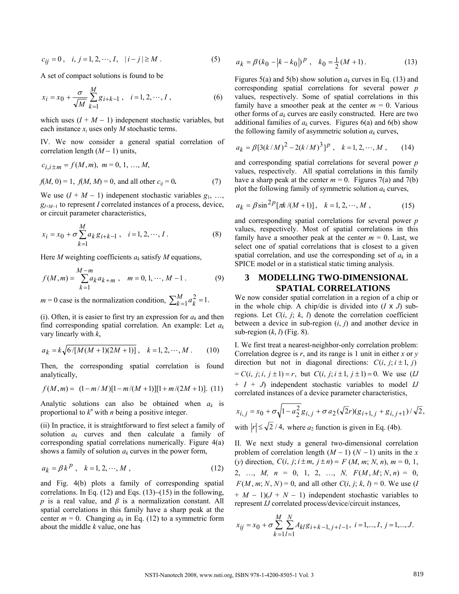$$
c_{ij} = 0 \,, \quad i, j = 1, 2, \cdots, I, \quad |i - j| \ge M \,.
$$

A set of compact solutions is found to be

$$
x_i = x_0 + \frac{\sigma}{\sqrt{M}} \sum_{k=1}^{M} g_{i+k-1} , \quad i = 1, 2, \cdots, I , \tag{6}
$$

which uses  $(I + M - 1)$  indepenent stochastic variables, but each instance *xi* uses only *M* stochastic terms.

IV. We now consider a general spatial correlation of correlation length (*M* − 1) units,

$$
c_{i,i \pm m} = f(M, m), \ m = 0, 1, ..., M,
$$
  

$$
f(M, 0) = 1, f(M, M) = 0, \text{ and all other } c_{ij} = 0.
$$
 (7)

We use  $(I + M - 1)$  indepenent stochastic variables  $g_1, \ldots,$ *g*<sub>*I*+*M*−1</sub> to represent *I* correlated instances of a process, device, or circuit parameter characteristics,

$$
x_i = x_0 + \sigma \sum_{k=1}^{M} a_k g_{i+k-1}, \quad i = 1, 2, \cdots, I.
$$
 (8)

Here *M* weighting coefficients *ak* satisfy *M* equations,

$$
f(M,m) = \sum_{k=1}^{M-m} a_k a_{k+m} , \quad m = 0, 1, \cdots, M-1 .
$$
 (9)

 $m = 0$  case is the normalization condition,  $\sum_{k=1}^{M} a_k^2 = 1$ .

(i). Often, it is easier to first try an expression for  $a_k$  and then find corresponding spatial correlation. An example: Let *ak* vary linearly with *k*,

$$
a_k = k \sqrt{6/[M(M+1)(2M+1)]}, \quad k = 1, 2, \cdots, M. \tag{10}
$$

Then, the corresponding spatial correlation is found analytically,

$$
f(M,m) = (1 - m/M)[1 - m/(M+1)][1 + m/(2M+1)]. (11)
$$

Analytic solutions can also be obtained when *ak* is proportional to  $k^n$  with *n* being a positive integer.

(ii) In practice, it is straightforward to first select a family of solution *ak* curves and then calculate a family of corresponding spatial correlations numerically. Figure 4(a) shows a family of solution  $a_k$  curves in the power form,

$$
a_k = \beta k^p, \quad k = 1, 2, \cdots, M \tag{12}
$$

and Fig. 4(b) plots a family of corresponding spatial correlations. In Eq. (12) and Eqs. (13)−(15) in the following, *p* is a real value, and *β* is a normalization constant. All spatial correlations in this family have a sharp peak at the center  $m = 0$ . Changing  $a_k$  in Eq. (12) to a symmetric form about the middle *k* value, one has

$$
a_k = \beta (k_0 - |k - k_0|)^p , \quad k_0 = \frac{1}{2}(M + 1).
$$
 (13)

Figures 5(a) and 5(b) show solution  $a_k$  curves in Eq. (13) and corresponding spatial correlations for several power *p* values, respectively. Some of spatial correlations in this family have a smoother peak at the center  $m = 0$ . Various other forms of  $a_k$  curves are easily constructed. Here are two additional families of  $a_k$  curves. Figures  $6(a)$  and  $6(b)$  show the following family of asymmetric solution  $a_k$  curves,

$$
a_k = \beta [3(k/M)^2 - 2(k/M)^3]^p , \quad k = 1, 2, \cdots, M , \qquad (14)
$$

and corresponding spatial correlations for several power *p* values, respectively. All spatial correlations in this family have a sharp peak at the center  $m = 0$ . Figures 7(a) and 7(b) plot the following family of symmetric solution  $a_k$  curves,

$$
a_k = \beta \sin^{2} P[\pi k/(M+1)], \quad k = 1, 2, \cdots, M,
$$
 (15)

and corresponding spatial correlations for several power *p* values, respectively. Most of spatial correlations in this family have a smoother peak at the center  $m = 0$ . Last, we select one of spatial correlations that is closest to a given spatial correlation, and use the corresponding set of *ak* in a SPICE model or in a statistical static timing analysis.

## **3 MODELLING TWO-DIMENSIONAL SPATIAL CORRELATIONS**

We now consider spatial correlation in a region of a chip or in the whole chip. A chip/die is divided into  $(I \times J)$  subregions. Let  $C(i, j; k, l)$  denote the correlation coefficient between a device in sub-region (*i*, *j*) and another device in sub-region (*k*, *l*) (Fig. 8).

I. We first treat a nearest-neighbor-only correlation problem: Correlation degree is *r*, and its range is 1 unit in either *x* or *y* direction but not in diagonal directions:  $C(i, j; i \pm 1, j)$  $= C(i, j; i, j \pm 1) = r$ , but  $C(i, j; i \pm 1, j \pm 1) = 0$ . We use (*IJ* + *I* + *J*) independent stochastic variables to model *IJ* correlated instances of a device parameter characteristics,

$$
x_{i,j} = x_0 + \sigma \sqrt{1 - a_2^2} g_{i,j} + \sigma a_2 (\sqrt{2}r)(g_{i+1,j} + g_{i,j+1}) / \sqrt{2},
$$
  
with  $|r| \le \sqrt{2} / 4$ , where  $a_2$  function is given in Eq. (4b).

II. We next study a general two-dimensional correlation problem of correlation length  $(M - 1)$   $(N - 1)$  units in the *x* (*y*) direction,  $C(i, j; i \pm m, j \pm n) = F(M, m; N, n), m = 0, 1,$  $2, \ldots, M, n = 0, 1, 2, \ldots, N, F(M, M; N, n) = 0,$  $F(M, m; N, N) = 0$ , and all other  $C(i, j; k, l) = 0$ . We use (*I*  $+ M - 1$ )( $J + N - 1$ ) independent stochastic variables to represent *IJ* correlated process/device/circuit instances,

$$
x_{ij} = x_0 + \sigma \sum_{k=1}^{M} \sum_{l=1}^{N} A_{kl} g_{i+k-1, j+l-1}, \ i = 1, ..., I, j = 1, ..., J.
$$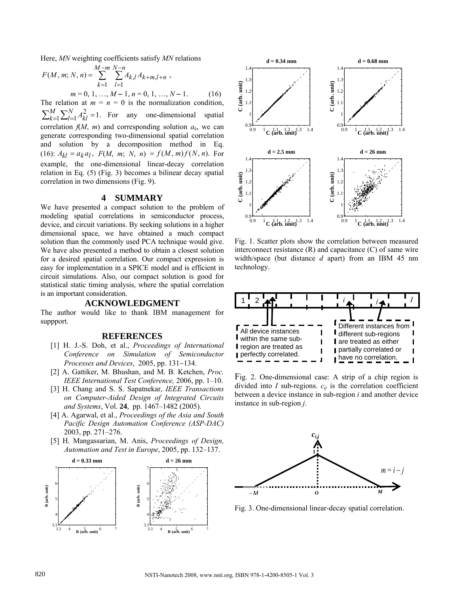Here, *MN* weighting coefficients satisfy *MN* relations

$$
F(M, m; N, n) = \sum_{k=1}^{M-m} \sum_{l=1}^{N-n} A_{k,l} A_{k+m,l+n} ,
$$
  
\n
$$
m = 0, 1, ..., M-1, n = 0, 1, ..., N-1.
$$
 (16)

The relation at  $m = n = 0$  is the normalization condition,  $\sum_{k=1}^{M} \sum_{l=1}^{N} A_{kl}^2 = 1$ . For any one-dimensional spatial correlation  $f(M, m)$  and corresponding solution  $a_k$ , we can *k*  $N_{l=1}^{N} A_{kl}^{2}$ generate corresponding two-dimensional spatial correlation and solution by a decomposition method in Eq. (16):  $A_{kl} = a_k a_l$ ,  $F(M, m; N, n) = f(M, m) f(N, n)$ . For example, the one-dimensional linear-decay correlation relation in Eq. (5) (Fig. 3) becomes a bilinear decay spatial correlation in two dimensions (Fig. 9).

### **4 SUMMARY**

We have presented a compact solution to the problem of modeling spatial correlations in semiconductor process, device, and circuit variations. By seeking solutions in a higher dimensional space, we have obtained a much compact solution than the commonly used PCA technique would give. We have also presented a method to obtain a closest solution for a desired spatial correlation. Our compact expression is easy for implementation in a SPICE model and is efficient in circuit simulations. Also, our compact solution is good for statistical static timing analysis, where the spatial correlation is an important consideration.

### **ACKNOWLEDGMENT**

The author would like to thank IBM management for suppport.

#### **REFERENCES**

- [1] H. J.-S. Doh, et al., *Proceedings of International Conference on Simulation of Semiconductor Processes and Devices*, 2005, pp. 131−134.
- [2] A. Gattiker, M. Bhushan, and M. B. Ketchen, *Proc. IEEE International Test Conference,* 2006, pp. 1–10.
- [3] H. Chang and S. S. Sapatnekar, *IEEE Transactions on Computer-Aided Design of Integrated Circuits and Systems*, Vol. **24**, pp. 1467–1482 (2005).
- [4] A. Agarwal, et al., *Proceedings of the Asia and South Pacific Design Automation Conference (ASP-DAC)* 2003, pp. 271–276.
- [5] H. Mangassarian, M. Anis, *Proceedings of Design, Automation and Test in Europe*, 2005, pp. 132–137.





Fig. 1. Scatter plots show the correlation between measured interconnect resistance  $(R)$  and capacitance  $(C)$  of same wire width/space (but distance *d* apart) from an IBM 45 nm technology.



Fig. 2. One-dimensional case: A strip of a chip region is divided into *I* sub-regions.  $c_{ij}$  is the correlation coefficient between a device instance in sub-region *i* and another device instance in sub-region *j*.



Fig. 3. One-dimensional linear-decay spatial correlation.